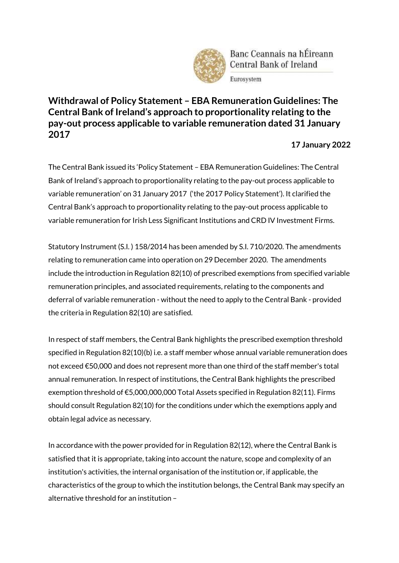

Banc Ceannais na hÉireann Central Bank of Ireland

Eurosystem

## **Withdrawal of Policy Statement – EBA Remuneration Guidelines: The Central Bank of Ireland's approach to proportionality relating to the pay-out process applicable to variable remuneration dated 31 January 2017**

## **17 January 2022**

The Central Bank issued its 'Policy Statement – EBA Remuneration Guidelines: The Central Bank of Ireland's approach to proportionality relating to the pay-out process applicable to variable remuneration' on 31 January 2017 ('the 2017 Policy Statement'). It clarified the Central Bank's approach to proportionality relating to the pay-out process applicable to variable remuneration for Irish Less Significant Institutions and CRD IV Investment Firms.

Statutory Instrument (S.I. ) 158/2014 has been amended by S.I. 710/2020. The amendments relating to remuneration came into operation on 29 December 2020. The amendments include the introduction in Regulation 82(10) of prescribed exemptions from specified variable remuneration principles, and associated requirements, relating to the components and deferral of variable remuneration - without the need to apply to the Central Bank - provided the criteria in Regulation 82(10) are satisfied.

In respect of staff members, the Central Bank highlights the prescribed exemption threshold specified in Regulation 82(10)(b) i.e. a staff member whose annual variable remuneration does not exceed €50,000 and does not represent more than one third of the staff member's total annual remuneration. In respect of institutions, the Central Bank highlights the prescribed exemption threshold of €5,000,000,000 Total Assets specified in Regulation 82(11). Firms should consult Regulation 82(10) for the conditions under which the exemptions apply and obtain legal advice as necessary.

In accordance with the power provided for in Regulation 82(12), where the Central Bank is satisfied that it is appropriate, taking into account the nature, scope and complexity of an institution's activities, the internal organisation of the institution or, if applicable, the characteristics of the group to which the institution belongs, the Central Bank may specify an alternative threshold for an institution –